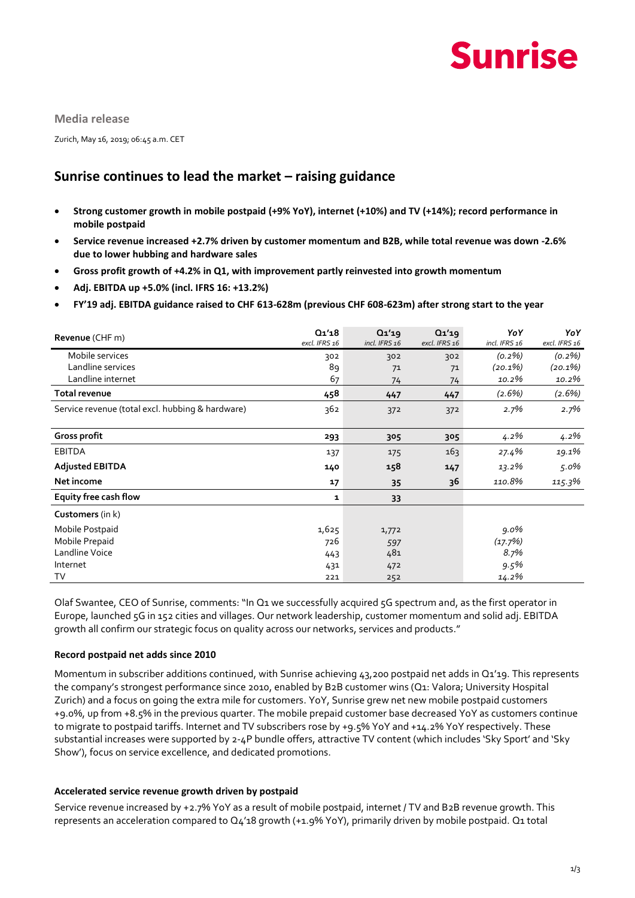

**Media release**

Zurich, May 16, 2019; 06:45 a.m. CET

# **Sunrise continues to lead the market – raising guidance**

- **Strong customer growth in mobile postpaid (+9% YoY), internet (+10%) and TV (+14%); record performance in mobile postpaid**
- **Service revenue increased +2.7% driven by customer momentum and B2B, while total revenue was down -2.6% due to lower hubbing and hardware sales**
- **Gross profit growth of +4.2% in Q1, with improvement partly reinvested into growth momentum**
- **Adj. EBITDA up +5.0% (incl. IFRS 16: +13.2%)**
- **FY'19 adj. EBITDA guidance raised to CHF 613-628m (previous CHF 608-623m) after strong start to the year**

| Revenue (CHF m)                                  | Q1'18<br>excl. IFRS 16 | Q1'19<br>incl. IFRS 16 | Q1'19<br>excl. IFRS 16 | YoY<br>incl. IFRS 16 | YoY<br>excl. IFRS 16 |
|--------------------------------------------------|------------------------|------------------------|------------------------|----------------------|----------------------|
| Mobile services                                  | 302                    | 302                    | 302                    | $(0.2\%)$            | $(0.2\%)$            |
| Landline services                                | 89                     | 71                     | 71                     | $(20.1\%)$           | $(20.1\%)$           |
| Landline internet                                | 67                     | 74                     | 74                     | 10.2%                | 10.2%                |
| Total revenue                                    | 458                    | 447                    | 447                    | $(2.6\%)$            | $(2.6\%)$            |
| Service revenue (total excl. hubbing & hardware) | 362                    | 372                    | 372                    | $2.7\%$              | 2.7%                 |
| Gross profit                                     | 293                    | 305                    | 305                    | $4.2\%$              | 4.2%                 |
| <b>EBITDA</b>                                    | 137                    | 175                    | 163                    | 27.4%                | 19.1%                |
| <b>Adjusted EBITDA</b>                           | 140                    | 158                    | 147                    | 13.2%                | 5.0%                 |
| Net income                                       | 17                     | 35                     | 36                     | 110.8%               | 115.3%               |
| Equity free cash flow                            | 1                      | 33                     |                        |                      |                      |
| Customers (in k)                                 |                        |                        |                        |                      |                      |
| Mobile Postpaid                                  | 1,625                  | 1,772                  |                        | $9.0\%$              |                      |
| Mobile Prepaid                                   | 726                    | 597                    |                        | (17.7%)              |                      |
| Landline Voice                                   | 443                    | 481                    |                        | 8.7%                 |                      |
| Internet                                         | 431                    | 472                    |                        | 9.5%                 |                      |
| T٧                                               | 221                    | 252                    |                        | 14.2%                |                      |

Olaf Swantee, CEO of Sunrise, comments: "In Q1 we successfully acquired 5G spectrum and, as the first operator in Europe, launched 5G in 152 cities and villages. Our network leadership, customer momentum and solid adj. EBITDA growth all confirm our strategic focus on quality across our networks, services and products."

### **Record postpaid net adds since 2010**

Momentum in subscriber additions continued, with Sunrise achieving 43,200 postpaid net adds in Q1'19. This represents the company's strongest performance since 2010, enabled by B2B customer wins (Q1: Valora; University Hospital Zurich) and a focus on going the extra mile for customers. YoY, Sunrise grew net new mobile postpaid customers +9.0%, up from +8.5% in the previous quarter. The mobile prepaid customer base decreased YoY as customers continue to migrate to postpaid tariffs. Internet and TV subscribers rose by +9.5% YoY and +14.2% YoY respectively. These substantial increases were supported by 2-4P bundle offers, attractive TV content (which includes 'Sky Sport' and 'Sky Show'), focus on service excellence, and dedicated promotions.

### **Accelerated service revenue growth driven by postpaid**

Service revenue increased by +2.7% YoY as a result of mobile postpaid, internet / TV and B2B revenue growth. This represents an acceleration compared to Q4'18 growth (+1.9% YoY), primarily driven by mobile postpaid. Q1 total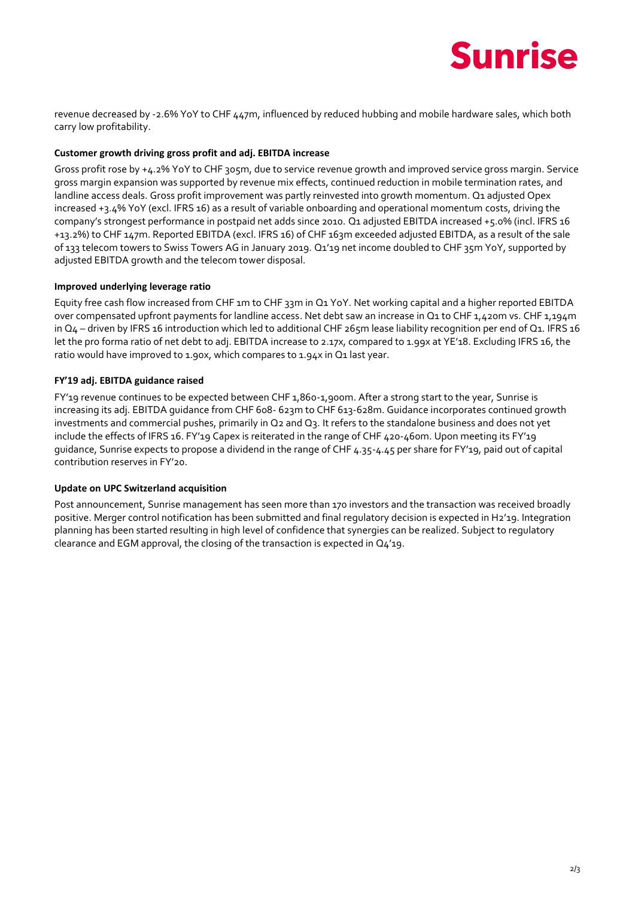# **Sunrise**

revenue decreased by -2.6% YoY to CHF 447m, influenced by reduced hubbing and mobile hardware sales, which both carry low profitability.

# **Customer growth driving gross profit and adj. EBITDA increase**

Gross profit rose by +4.2% YoY to CHF 305m, due to service revenue growth and improved service gross margin. Service gross margin expansion was supported by revenue mix effects, continued reduction in mobile termination rates, and landline access deals. Gross profit improvement was partly reinvested into growth momentum. Q1 adjusted Opex increased +3.4% YoY (excl. IFRS 16) as a result of variable onboarding and operational momentum costs, driving the company's strongest performance in postpaid net adds since 2010. Q1 adjusted EBITDA increased +5.0% (incl. IFRS 16 +13.2%) to CHF 147m. Reported EBITDA (excl. IFRS 16) of CHF 163m exceeded adjusted EBITDA, as a result of the sale of 133 telecom towers to Swiss Towers AG in January 2019. Q1'19 net income doubled to CHF 35m YoY, supported by adjusted EBITDA growth and the telecom tower disposal.

# **Improved underlying leverage ratio**

Equity free cash flow increased from CHF 1m to CHF 33m in Q1 YoY. Net working capital and a higher reported EBITDA over compensated upfront payments for landline access. Net debt saw an increase in Q1 to CHF 1,420m vs. CHF 1,194m in  $Q_4$  – driven by IFRS 16 introduction which led to additional CHF 265m lease liability recognition per end of  $Q_1$ . IFRS 16 let the pro forma ratio of net debt to adj. EBITDA increase to 2.17x, compared to 1.99x at YE'18. Excluding IFRS 16, the ratio would have improved to 1.90x, which compares to 1.94x in Q1 last year.

# **FY'19 adj. EBITDA guidance raised**

FY'19 revenue continues to be expected between CHF 1,860-1,900m. After a strong start to the year, Sunrise is increasing its adj. EBITDA guidance from CHF 608- 623m to CHF 613-628m. Guidance incorporates continued growth investments and commercial pushes, primarily in Q2 and Q3. It refers to the standalone business and does not yet include the effects of IFRS 16. FY'19 Capex is reiterated in the range of CHF 420-460m. Upon meeting its FY'19 guidance, Sunrise expects to propose a dividend in the range of CHF 4.35-4.45 per share for FY'19, paid out of capital contribution reserves in FY'20.

## **Update on UPC Switzerland acquisition**

Post announcement, Sunrise management has seen more than 170 investors and the transaction was received broadly positive. Merger control notification has been submitted and final regulatory decision is expected in H2'19. Integration planning has been started resulting in high level of confidence that synergies can be realized. Subject to regulatory clearance and EGM approval, the closing of the transaction is expected in Q4'19.